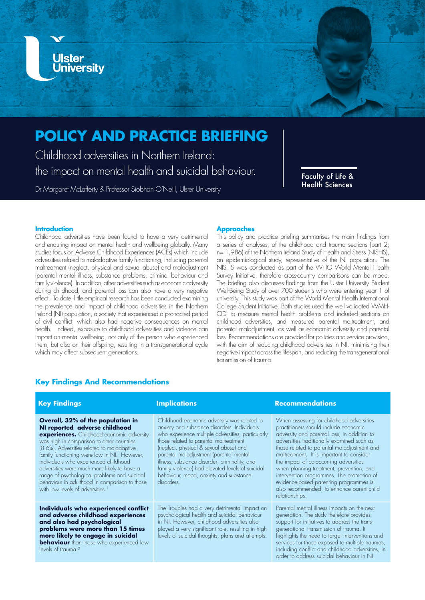

# **POLICY AND PRACTICE BRIEFING**

Childhood adversities in Northern Ireland: the impact on mental health and suicidal behaviour.

Dr Margaret McLafferty & Professor Siobhan O'Neill, Ulster University

Faculty of Life & Health Sciences

### **Introduction**

Childhood adversities have been found to have a very detrimental and enduring impact on mental health and wellbeing globally. Many studies focus on Adverse Childhood Experiences (ACEs) which include adversities related to maladaptive family functioning, including parental maltreatment (neglect, physical and sexual abuse) and maladjustment (parental mental illness, substance problems, criminal behaviour and family violence). In addition, other adversities such as economic adversity during childhood, and parental loss can also have a very negative effect. To date, little empirical research has been conducted examining the prevalence and impact of childhood adversities in the Northern Ireland (NI) population, a society that experienced a protracted period of civil conflict, which also had negative consequences on mental health. Indeed, exposure to childhood adversities and violence can impact on mental wellbeing, not only of the person who experienced them, but also on their offspring, resulting in a transgenerational cycle which may affect subsequent generations.

#### **Approaches**

This policy and practice briefing summarises the main findings from a series of analyses, of the childhood and trauma sections (part 2; n= 1,986) of the Northern Ireland Study of Health and Stress (NISHS), an epidemiological study, representative of the NI population. The NISHS was conducted as part of the WHO World Mental Health Survey Initiative, therefore cross-country comparisons can be made. The briefing also discusses findings from the Ulster University Student Well-Being Study of over 700 students who were entering year 1 of university. This study was part of the World Mental Health International College Student Initiative. Both studies used the well validated WMH-CIDI to measure mental health problems and included sections on childhood adversities, and measured parental maltreatment, and parental maladjustment, as well as economic adversity and parental loss. Recommendations are provided for policies and service provision, with the aim of reducing childhood adversities in NI, minimising their negative impact across the lifespan, and reducing the transgenerational transmission of trauma.

# **Key Findings And Recommendations**

| <b>Key Findings</b>                                                                                                                                                                                                                                                                                                                                                                                                                                                                                       | <b>Implications</b>                                                                                                                                                                                                                                                                                                                                                                                                                          | <b>Recommendations</b>                                                                                                                                                                                                                                                                                                                                                                                                                                                                                                 |
|-----------------------------------------------------------------------------------------------------------------------------------------------------------------------------------------------------------------------------------------------------------------------------------------------------------------------------------------------------------------------------------------------------------------------------------------------------------------------------------------------------------|----------------------------------------------------------------------------------------------------------------------------------------------------------------------------------------------------------------------------------------------------------------------------------------------------------------------------------------------------------------------------------------------------------------------------------------------|------------------------------------------------------------------------------------------------------------------------------------------------------------------------------------------------------------------------------------------------------------------------------------------------------------------------------------------------------------------------------------------------------------------------------------------------------------------------------------------------------------------------|
| Overall, 32% of the population in<br>NI reported adverse childhood<br><b>experiences.</b> Childhood economic adversity<br>was high in comparison to other countries<br>(8.6%). Adversities related to maladaptive<br>family functioning were low in NI. However,<br>individuals who experienced childhood<br>adversities were much more likely to have a<br>range of psychological problems and suicidal<br>behaviour in adulthood in comparison to those<br>with low levels of adversities. <sup>1</sup> | Childhood economic adversity was related to<br>anxiety and substance disorders. Individuals<br>who experience multiple adversities, particularly<br>those related to parental maltreatment<br>(neglect, physical & sexual abuse) and<br>parental maladjustment (parental mental<br>illness; substance disorder; criminality, and<br>family violence) had elevated levels of suicidal<br>behaviour, mood, anxiety and substance<br>disorders. | When assessing for childhood adversities<br>practitioners should include economic<br>adversity and parental loss, in addition to<br>adversities traditionally examined such as<br>those related to parental maladjustment and<br>maltreatment. It is important to consider<br>the impact of co-occurring adversities<br>when planning treatment, prevention, and<br>intervention programmes. The promotion of<br>evidence-based parenting programmes is<br>also recommended, to enhance parent-child<br>relationships. |
| Individuals who experienced conflict<br>and adverse childhood experiences<br>and also had psychological<br>problems were more than 15 times<br>more likely to engage in suicidal<br><b>behaviour</b> than those who experienced low<br>levels of trauma. <sup>2</sup>                                                                                                                                                                                                                                     | The Troubles had a very detrimental impact on<br>psychological health and suicidal behaviour<br>in NI. However, childhood adversities also<br>played a very significant role, resulting in high<br>levels of suicidal thoughts, plans and attempts.                                                                                                                                                                                          | Parental mental illness impacts on the next<br>generation. The study therefore provides<br>support for initiatives to address the trans-<br>generational transmission of trauma. It<br>highlights the need to target interventions and<br>services for those exposed to multiple traumas,<br>including conflict and childhood adversities, in<br>order to address suicidal behaviour in NI.                                                                                                                            |